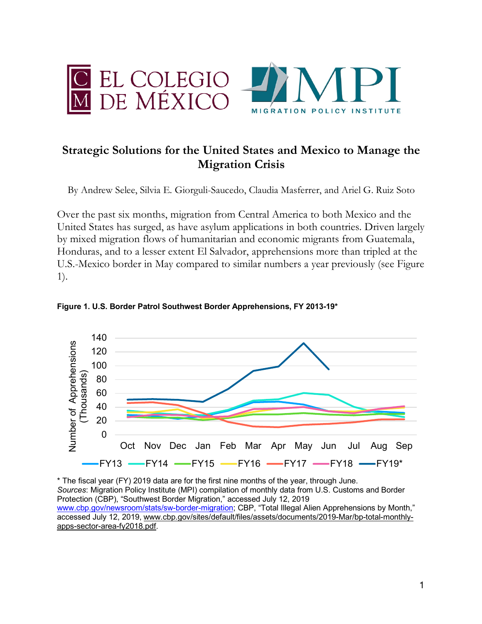



# **Strategic Solutions for the United States and Mexico to Manage the Migration Crisis**

By Andrew Selee, Silvia E. Giorguli-Saucedo, Claudia Masferrer, and Ariel G. Ruiz Soto

Over the past six months, migration from Central America to both Mexico and the United States has surged, as have asylum applications in both countries. Driven largely by mixed migration flows of humanitarian and economic migrants from Guatemala, Honduras, and to a lesser extent El Salvador, apprehensions more than tripled at the U.S.-Mexico border in May compared to similar numbers a year previously (see Figure 1).



**Figure 1. U.S. Border Patrol Southwest Border Apprehensions, FY 2013-19\***

\* The fiscal year (FY) 2019 data are for the first nine months of the year, through June. *Sources*: Migration Policy Institute (MPI) compilation of monthly data from U.S. Customs and Border Protection (CBP), "Southwest Border Migration," accessed July 12, 2019 www.cbp.gov/newsroom/stats/sw-border-migration; CBP, "Total Illegal Alien Apprehensions by Month," accessed July 12, 2019, www.cbp.gov/sites/default/files/assets/documents/2019-Mar/bp-total-monthlyapps-sector-area-fy2018.pdf.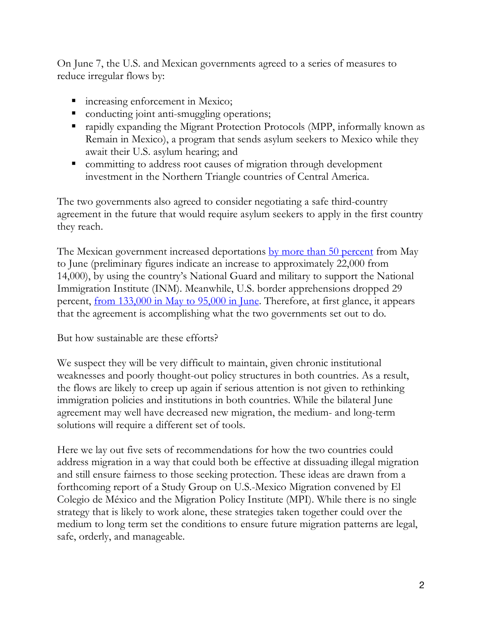On June 7, the U.S. and Mexican governments agreed to a series of measures to reduce irregular flows by:

- increasing enforcement in Mexico;
- conducting joint anti-smuggling operations;
- rapidly expanding the Migrant Protection Protocols (MPP, informally known as Remain in Mexico), a program that sends asylum seekers to Mexico while they await their U.S. asylum hearing; and
- committing to address root causes of migration through development investment in the Northern Triangle countries of Central America.

The two governments also agreed to consider negotiating a safe third-country agreement in the future that would require asylum seekers to apply in the first country they reach.

The Mexican government increased deportations by more than 50 percent from May to June (preliminary figures indicate an increase to approximately 22,000 from 14,000), by using the country's National Guard and military to support the National Immigration Institute (INM). Meanwhile, U.S. border apprehensions dropped 29 percent, <u>from 133,000 in May to 95,000 in June</u>. Therefore, at first glance, it appears that the agreement is accomplishing what the two governments set out to do.

But how sustainable are these efforts?

We suspect they will be very difficult to maintain, given chronic institutional weaknesses and poorly thought-out policy structures in both countries. As a result, the flows are likely to creep up again if serious attention is not given to rethinking immigration policies and institutions in both countries. While the bilateral June agreement may well have decreased new migration, the medium- and long-term solutions will require a different set of tools.

Here we lay out five sets of recommendations for how the two countries could address migration in a way that could both be effective at dissuading illegal migration and still ensure fairness to those seeking protection. These ideas are drawn from a forthcoming report of a Study Group on U.S.-Mexico Migration convened by El Colegio de México and the Migration Policy Institute (MPI). While there is no single strategy that is likely to work alone, these strategies taken together could over the medium to long term set the conditions to ensure future migration patterns are legal, safe, orderly, and manageable.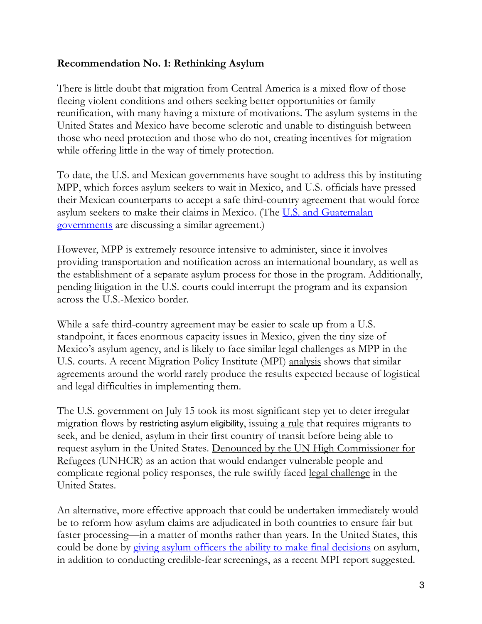## **Recommendation No. 1: Rethinking Asylum**

There is little doubt that migration from Central America is a mixed flow of those fleeing violent conditions and others seeking better opportunities or family reunification, with many having a mixture of motivations. The asylum systems in the United States and Mexico have become sclerotic and unable to distinguish between those who need protection and those who do not, creating incentives for migration while offering little in the way of timely protection.

To date, the U.S. and Mexican governments have sought to address this by instituting MPP, which forces asylum seekers to wait in Mexico, and U.S. officials have pressed their Mexican counterparts to accept a safe third-country agreement that would force asylum seekers to make their claims in Mexico. (The U.S. and Guatemalan governments are discussing a similar agreement.)

However, MPP is extremely resource intensive to administer, since it involves providing transportation and notification across an international boundary, as well as the establishment of a separate asylum process for those in the program. Additionally, pending litigation in the U.S. courts could interrupt the program and its expansion across the U.S.-Mexico border.

While a safe third-country agreement may be easier to scale up from a U.S. standpoint, it faces enormous capacity issues in Mexico, given the tiny size of Mexico's asylum agency, and is likely to face similar legal challenges as MPP in the U.S. courts. A recent Migration Policy Institute (MPI) analysis shows that similar agreements around the world rarely produce the results expected because of logistical and legal difficulties in implementing them.

The U.S. government on July 15 took its most significant step yet to deter irregular migration flows by restricting asylum eligibility, issuing a rule that requires migrants to seek, and be denied, asylum in their first country of transit before being able to request asylum in the United States. Denounced by the UN High Commissioner for Refugees (UNHCR) as an action that would endanger vulnerable people and complicate regional policy responses, the rule swiftly faced legal challenge in the United States.

An alternative, more effective approach that could be undertaken immediately would be to reform how asylum claims are adjudicated in both countries to ensure fair but faster processing—in a matter of months rather than years. In the United States, this could be done by giving asylum officers the ability to make final decisions on asylum, in addition to conducting credible-fear screenings, as a recent MPI report suggested.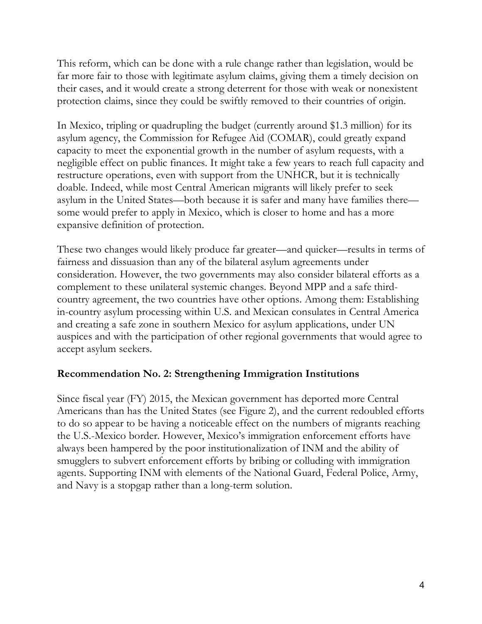This reform, which can be done with a rule change rather than legislation, would be far more fair to those with legitimate asylum claims, giving them a timely decision on their cases, and it would create a strong deterrent for those with weak or nonexistent protection claims, since they could be swiftly removed to their countries of origin.

In Mexico, tripling or quadrupling the budget (currently around \$1.3 million) for its asylum agency, the Commission for Refugee Aid (COMAR), could greatly expand capacity to meet the exponential growth in the number of asylum requests, with a negligible effect on public finances. It might take a few years to reach full capacity and restructure operations, even with support from the UNHCR, but it is technically doable. Indeed, while most Central American migrants will likely prefer to seek asylum in the United States—both because it is safer and many have families there some would prefer to apply in Mexico, which is closer to home and has a more expansive definition of protection.

These two changes would likely produce far greater—and quicker—results in terms of fairness and dissuasion than any of the bilateral asylum agreements under consideration. However, the two governments may also consider bilateral efforts as a complement to these unilateral systemic changes. Beyond MPP and a safe thirdcountry agreement, the two countries have other options. Among them: Establishing in-country asylum processing within U.S. and Mexican consulates in Central America and creating a safe zone in southern Mexico for asylum applications, under UN auspices and with the participation of other regional governments that would agree to accept asylum seekers.

### **Recommendation No. 2: Strengthening Immigration Institutions**

Since fiscal year (FY) 2015, the Mexican government has deported more Central Americans than has the United States (see Figure 2), and the current redoubled efforts to do so appear to be having a noticeable effect on the numbers of migrants reaching the U.S.-Mexico border. However, Mexico's immigration enforcement efforts have always been hampered by the poor institutionalization of INM and the ability of smugglers to subvert enforcement efforts by bribing or colluding with immigration agents. Supporting INM with elements of the National Guard, Federal Police, Army, and Navy is a stopgap rather than a long-term solution.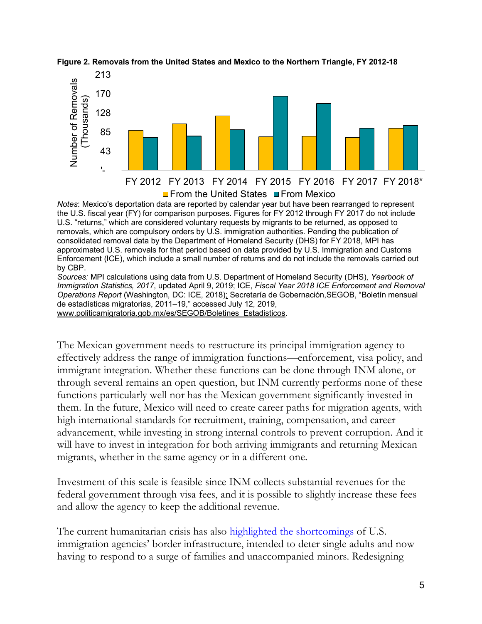



*Notes*: Mexico's deportation data are reported by calendar year but have been rearranged to represent the U.S. fiscal year (FY) for comparison purposes. Figures for FY 2012 through FY 2017 do not include U.S. "returns," which are considered voluntary requests by migrants to be returned, as opposed to removals, which are compulsory orders by U.S. immigration authorities. Pending the publication of consolidated removal data by the Department of Homeland Security (DHS) for FY 2018, MPI has approximated U.S. removals for that period based on data provided by U.S. Immigration and Customs Enforcement (ICE), which include a small number of returns and do not include the removals carried out by CBP.

*Sources:* MPI calculations using data from U.S. Department of Homeland Security (DHS), *Yearbook of Immigration Statistics, 2017*, updated April 9, 2019; ICE, *Fiscal Year 2018 ICE Enforcement and Removal Operations Report* (Washington, DC: ICE, 2018); Secretaría de Gobernación,SEGOB, "Boletín mensual de estadísticas migratorias, 2011–19," accessed July 12, 2019, www.politicamigratoria.gob.mx/es/SEGOB/Boletines\_Estadisticos.

The Mexican government needs to restructure its principal immigration agency to effectively address the range of immigration functions—enforcement, visa policy, and immigrant integration. Whether these functions can be done through INM alone, or through several remains an open question, but INM currently performs none of these functions particularly well nor has the Mexican government significantly invested in them. In the future, Mexico will need to create career paths for migration agents, with high international standards for recruitment, training, compensation, and career advancement, while investing in strong internal controls to prevent corruption. And it will have to invest in integration for both arriving immigrants and returning Mexican migrants, whether in the same agency or in a different one.

Investment of this scale is feasible since INM collects substantial revenues for the federal government through visa fees, and it is possible to slightly increase these fees and allow the agency to keep the additional revenue.

The current humanitarian crisis has also highlighted the shortcomings of U.S. immigration agencies' border infrastructure, intended to deter single adults and now having to respond to a surge of families and unaccompanied minors. Redesigning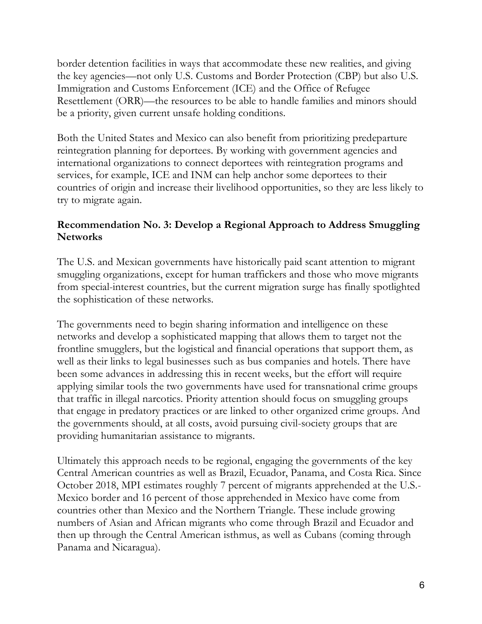border detention facilities in ways that accommodate these new realities, and giving the key agencies—not only U.S. Customs and Border Protection (CBP) but also U.S. Immigration and Customs Enforcement (ICE) and the Office of Refugee Resettlement (ORR)—the resources to be able to handle families and minors should be a priority, given current unsafe holding conditions.

Both the United States and Mexico can also benefit from prioritizing predeparture reintegration planning for deportees. By working with government agencies and international organizations to connect deportees with reintegration programs and services, for example, ICE and INM can help anchor some deportees to their countries of origin and increase their livelihood opportunities, so they are less likely to try to migrate again.

## **Recommendation No. 3: Develop a Regional Approach to Address Smuggling Networks**

The U.S. and Mexican governments have historically paid scant attention to migrant smuggling organizations, except for human traffickers and those who move migrants from special-interest countries, but the current migration surge has finally spotlighted the sophistication of these networks.

The governments need to begin sharing information and intelligence on these networks and develop a sophisticated mapping that allows them to target not the frontline smugglers, but the logistical and financial operations that support them, as well as their links to legal businesses such as bus companies and hotels. There have been some advances in addressing this in recent weeks, but the effort will require applying similar tools the two governments have used for transnational crime groups that traffic in illegal narcotics. Priority attention should focus on smuggling groups that engage in predatory practices or are linked to other organized crime groups. And the governments should, at all costs, avoid pursuing civil-society groups that are providing humanitarian assistance to migrants.

Ultimately this approach needs to be regional, engaging the governments of the key Central American countries as well as Brazil, Ecuador, Panama, and Costa Rica. Since October 2018, MPI estimates roughly 7 percent of migrants apprehended at the U.S.- Mexico border and 16 percent of those apprehended in Mexico have come from countries other than Mexico and the Northern Triangle. These include growing numbers of Asian and African migrants who come through Brazil and Ecuador and then up through the Central American isthmus, as well as Cubans (coming through Panama and Nicaragua).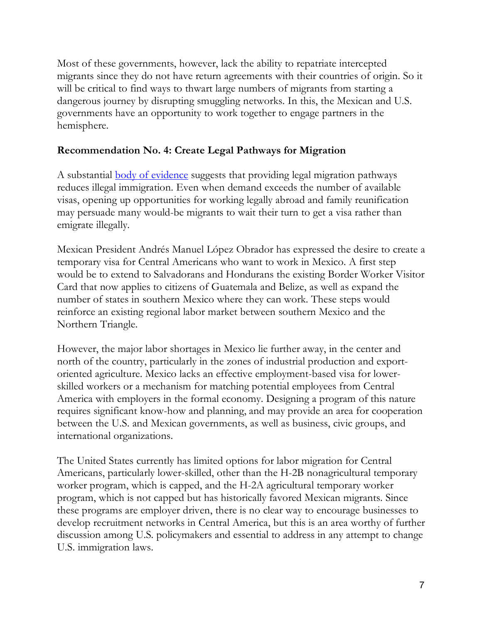Most of these governments, however, lack the ability to repatriate intercepted migrants since they do not have return agreements with their countries of origin. So it will be critical to find ways to thwart large numbers of migrants from starting a dangerous journey by disrupting smuggling networks. In this, the Mexican and U.S. governments have an opportunity to work together to engage partners in the hemisphere.

## **Recommendation No. 4: Create Legal Pathways for Migration**

A substantial body of evidence suggests that providing legal migration pathways reduces illegal immigration. Even when demand exceeds the number of available visas, opening up opportunities for working legally abroad and family reunification may persuade many would-be migrants to wait their turn to get a visa rather than emigrate illegally.

Mexican President Andrés Manuel López Obrador has expressed the desire to create a temporary visa for Central Americans who want to work in Mexico. A first step would be to extend to Salvadorans and Hondurans the existing Border Worker Visitor Card that now applies to citizens of Guatemala and Belize, as well as expand the number of states in southern Mexico where they can work. These steps would reinforce an existing regional labor market between southern Mexico and the Northern Triangle.

However, the major labor shortages in Mexico lie further away, in the center and north of the country, particularly in the zones of industrial production and exportoriented agriculture. Mexico lacks an effective employment-based visa for lowerskilled workers or a mechanism for matching potential employees from Central America with employers in the formal economy. Designing a program of this nature requires significant know-how and planning, and may provide an area for cooperation between the U.S. and Mexican governments, as well as business, civic groups, and international organizations.

The United States currently has limited options for labor migration for Central Americans, particularly lower-skilled, other than the H-2B nonagricultural temporary worker program, which is capped, and the H-2A agricultural temporary worker program, which is not capped but has historically favored Mexican migrants. Since these programs are employer driven, there is no clear way to encourage businesses to develop recruitment networks in Central America, but this is an area worthy of further discussion among U.S. policymakers and essential to address in any attempt to change U.S. immigration laws.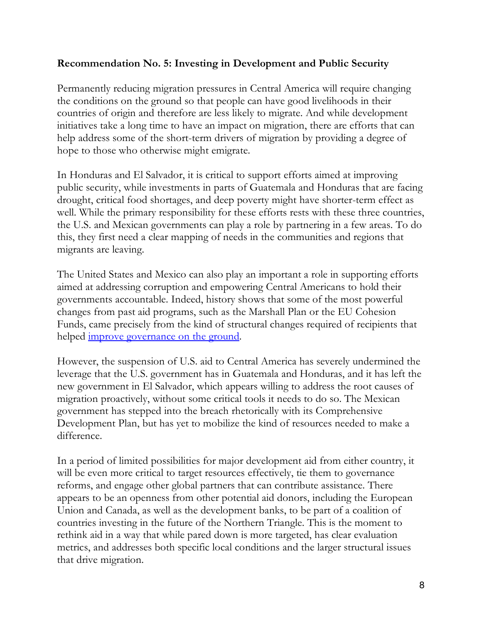## **Recommendation No. 5: Investing in Development and Public Security**

Permanently reducing migration pressures in Central America will require changing the conditions on the ground so that people can have good livelihoods in their countries of origin and therefore are less likely to migrate. And while development initiatives take a long time to have an impact on migration, there are efforts that can help address some of the short-term drivers of migration by providing a degree of hope to those who otherwise might emigrate.

In Honduras and El Salvador, it is critical to support efforts aimed at improving public security, while investments in parts of Guatemala and Honduras that are facing drought, critical food shortages, and deep poverty might have shorter-term effect as well. While the primary responsibility for these efforts rests with these three countries, the U.S. and Mexican governments can play a role by partnering in a few areas. To do this, they first need a clear mapping of needs in the communities and regions that migrants are leaving.

The United States and Mexico can also play an important a role in supporting efforts aimed at addressing corruption and empowering Central Americans to hold their governments accountable. Indeed, history shows that some of the most powerful changes from past aid programs, such as the Marshall Plan or the EU Cohesion Funds, came precisely from the kind of structural changes required of recipients that helped <u>improve governance on the ground</u>.

However, the suspension of U.S. aid to Central America has severely undermined the leverage that the U.S. government has in Guatemala and Honduras, and it has left the new government in El Salvador, which appears willing to address the root causes of migration proactively, without some critical tools it needs to do so. The Mexican government has stepped into the breach rhetorically with its Comprehensive Development Plan, but has yet to mobilize the kind of resources needed to make a difference.

In a period of limited possibilities for major development aid from either country, it will be even more critical to target resources effectively, tie them to governance reforms, and engage other global partners that can contribute assistance. There appears to be an openness from other potential aid donors, including the European Union and Canada, as well as the development banks, to be part of a coalition of countries investing in the future of the Northern Triangle. This is the moment to rethink aid in a way that while pared down is more targeted, has clear evaluation metrics, and addresses both specific local conditions and the larger structural issues that drive migration.